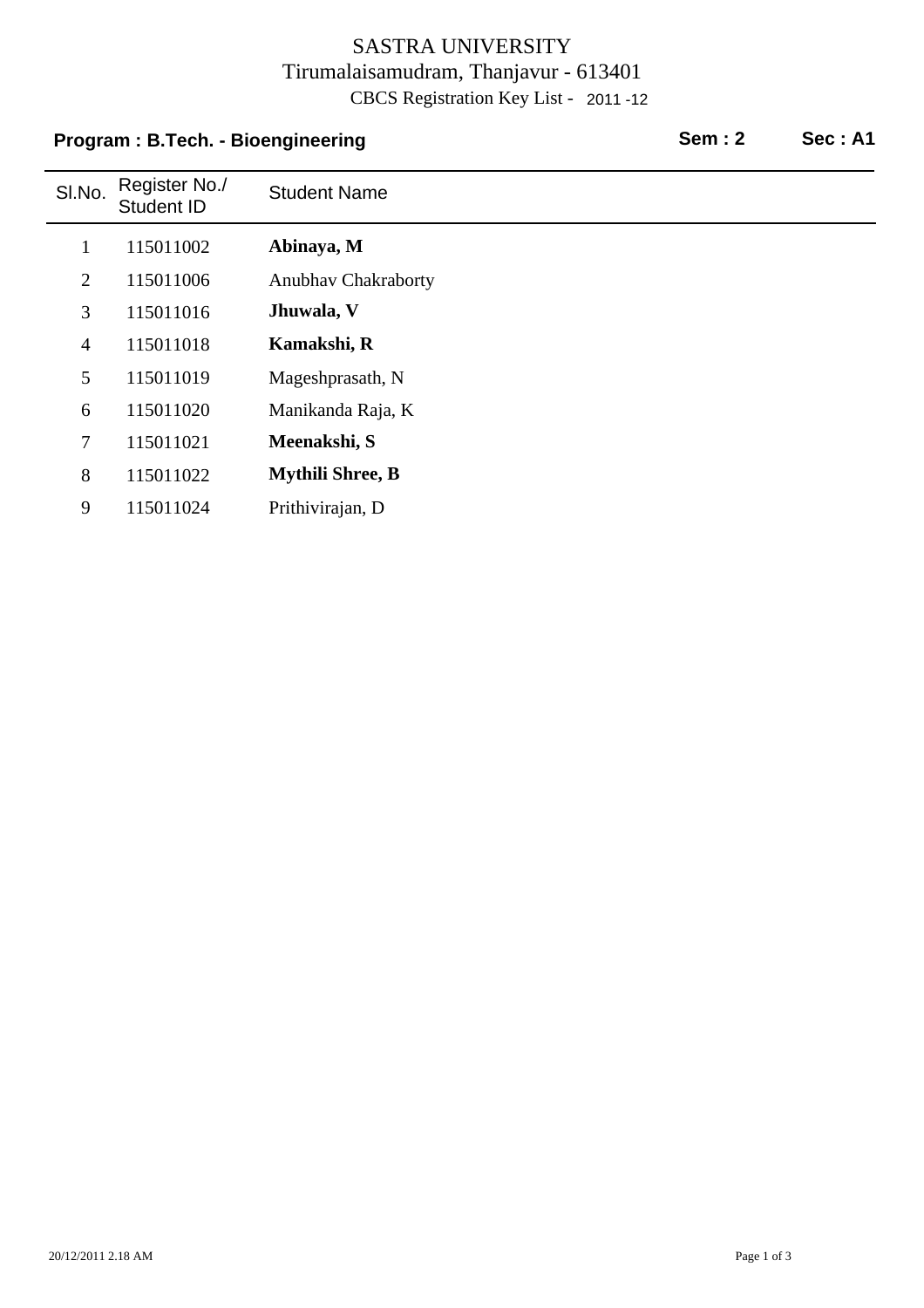### SASTRA UNIVERSITY Tirumalaisamudram, Thanjavur - 613401 CBCS Registration Key List - 2011 -12

# Sl.No. Register No./ Register No./ Student Name<br>Student ID **Program : B.Tech. - Bioengineering Sem : 2 Sec : A1** 1 115011002 **Abinaya, M** 2 115011006 Anubhav Chakraborty 3 115011016 **Jhuwala, V** 4 115011018 **Kamakshi, R** 5 115011019 Mageshprasath, N 6 Manikanda Raja, K 115011020 7 115011021 **Meenakshi, S** 8 115011022 **Mythili Shree, B** 9 Prithivirajan, D 115011024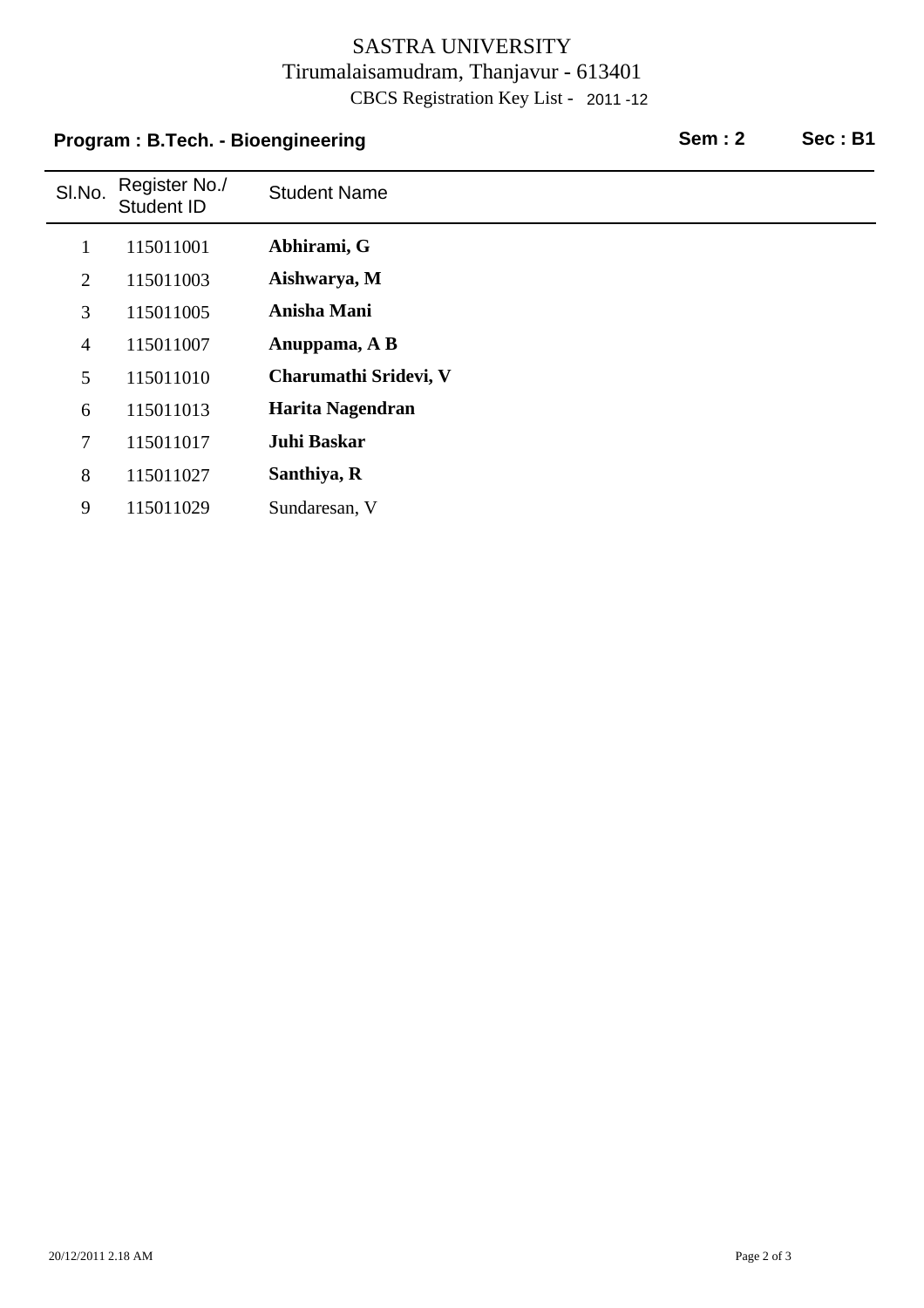## SASTRA UNIVERSITY Tirumalaisamudram, Thanjavur - 613401 CBCS Registration Key List - 2011 -12

| Program: B.Tech. - Bioengineering |                             |                       | <b>Sem: 2</b> | Sec: B1 |
|-----------------------------------|-----------------------------|-----------------------|---------------|---------|
| SI.No.                            | Register No./<br>Student ID | <b>Student Name</b>   |               |         |
| $\mathbf{1}$                      | 115011001                   | Abhirami, G           |               |         |
| $\overline{2}$                    | 115011003                   | Aishwarya, M          |               |         |
| 3                                 | 115011005                   | Anisha Mani           |               |         |
| $\overline{4}$                    | 115011007                   | Anuppama, A B         |               |         |
| 5                                 | 115011010                   | Charumathi Sridevi, V |               |         |
| 6                                 | 115011013                   | Harita Nagendran      |               |         |
| 7                                 | 115011017                   | Juhi Baskar           |               |         |
| 8                                 | 115011027                   | Santhiya, R           |               |         |
| 9                                 | 115011029                   | Sundaresan, V         |               |         |